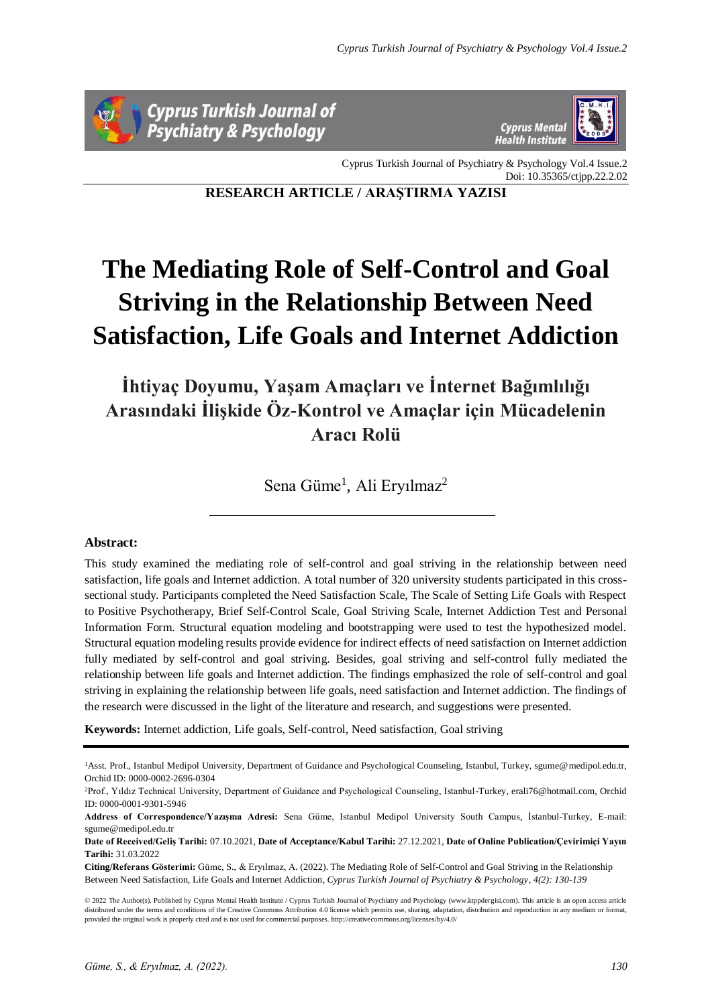



Cyprus Turkish Journal of Psychiatry & Psychology Vol.4 Issue.2 Doi: 10.35365/ctjpp.22.2.02

**RESEARCH ARTICLE / ARAŞTIRMA YAZISI**

# **The Mediating Role of Self-Control and Goal Striving in the Relationship Between Need Satisfaction, Life Goals and Internet Addiction**

**İhtiyaç Doyumu, Yaşam Amaçları ve İnternet Bağımlılığı Arasındaki İlişkide Öz-Kontrol ve Amaçlar için Mücadelenin Aracı Rolü**

Sena Güme<sup>1</sup>, Ali Eryılmaz<sup>2</sup>

# **Abstract:**

This study examined the mediating role of self-control and goal striving in the relationship between need satisfaction, life goals and Internet addiction. A total number of 320 university students participated in this crosssectional study. Participants completed the Need Satisfaction Scale, The Scale of Setting Life Goals with Respect to Positive Psychotherapy, Brief Self-Control Scale, Goal Striving Scale, Internet Addiction Test and Personal Information Form. Structural equation modeling and bootstrapping were used to test the hypothesized model. Structural equation modeling results provide evidence for indirect effects of need satisfaction on Internet addiction fully mediated by self-control and goal striving. Besides, goal striving and self-control fully mediated the relationship between life goals and Internet addiction. The findings emphasized the role of self-control and goal striving in explaining the relationship between life goals, need satisfaction and Internet addiction. The findings of the research were discussed in the light of the literature and research, and suggestions were presented.

**Keywords:** Internet addiction, Life goals, Self-control, Need satisfaction, Goal striving

<sup>1</sup>Asst. Prof., Istanbul Medipol University, Department of Guidance and Psychological Counseling, Istanbul, Turkey, sgume@medipol.edu.tr, Orchid ID: 0000-0002-2696-0304

<sup>2</sup>Prof., Yıldız Technical University, Department of Guidance and Psychological Counseling, Istanbul-Turkey, erali76@hotmail.com, Orchid ID: 0000-0001-9301-5946

**Address of Correspondence/Yazışma Adresi:** Sena Güme, Istanbul Medipol University South Campus, İstanbul-Turkey, E-mail: sgume@medipol.edu.tr

**Date of Received/Geliş Tarihi:** 07.10.2021, **Date of Acceptance/Kabul Tarihi:** 27.12.2021, **Date of Online Publication/Çevirimiçi Yayın Tarihi:** 31.03.2022

**Citing/Referans Gösterimi:** Güme, S., & Eryılmaz, A. (2022). The Mediating Role of Self-Control and Goal Striving in the Relationship Between Need Satisfaction, Life Goals and Internet Addiction, *Cyprus Turkish Journal of Psychiatry & Psychology, 4(2): 130-139*

<sup>© 2022</sup> The Author(s). Published by Cyprus Mental Health Institute / Cyprus Turkish Journal of Psychiatry and Psychology (www.ktppdergisi.com). This article is an open access article distributed under the terms and conditions of the Creative Commons Attribution 4.0 license which permits use, sharing, adaptation, distribution and reproduction in any medium or format provided the original work is properly cited and is not used for commercial purposes. http://creativecommons.org/licenses/by/4.0/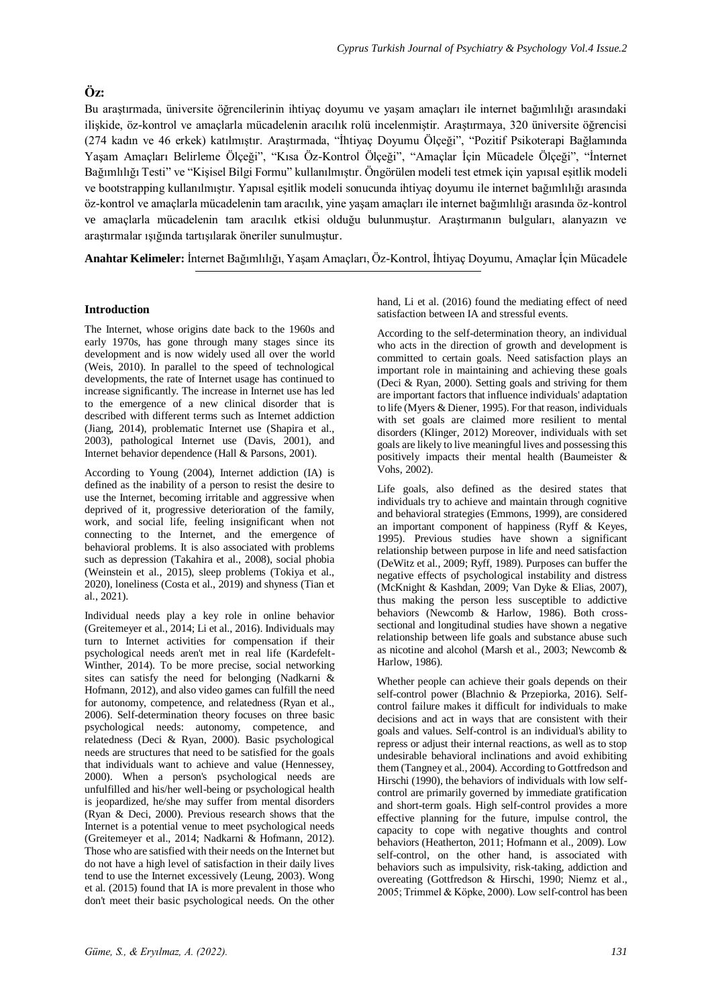# **Öz:**

Bu araştırmada, üniversite öğrencilerinin ihtiyaç doyumu ve yaşam amaçları ile internet bağımlılığı arasındaki ilişkide, öz-kontrol ve amaçlarla mücadelenin aracılık rolü incelenmiştir. Araştırmaya, 320 üniversite öğrencisi (274 kadın ve 46 erkek) katılmıştır. Araştırmada, "İhtiyaç Doyumu Ölçeği", "Pozitif Psikoterapi Bağlamında Yaşam Amaçları Belirleme Ölçeği", "Kısa Öz-Kontrol Ölçeği", "Amaçlar İçin Mücadele Ölçeği", "İnternet Bağımlılığı Testi" ve "Kişisel Bilgi Formu" kullanılmıştır. Öngörülen modeli test etmek için yapısal eşitlik modeli ve bootstrapping kullanılmıştır. Yapısal eşitlik modeli sonucunda ihtiyaç doyumu ile internet bağımlılığı arasında öz-kontrol ve amaçlarla mücadelenin tam aracılık, yine yaşam amaçları ile internet bağımlılığı arasında öz-kontrol ve amaçlarla mücadelenin tam aracılık etkisi olduğu bulunmuştur. Araştırmanın bulguları, alanyazın ve araştırmalar ışığında tartışılarak öneriler sunulmuştur.

**Anahtar Kelimeler:** İnternet Bağımlılığı, Yaşam Amaçları, Öz-Kontrol, İhtiyaç Doyumu, Amaçlar İçin Mücadele

## **Introduction**

The Internet, whose origins date back to the 1960s and early 1970s, has gone through many stages since its development and is now widely used all over the world (Weis, 2010). In parallel to the speed of technological developments, the rate of Internet usage has continued to increase significantly. The increase in Internet use has led to the emergence of a new clinical disorder that is described with different terms such as Internet addiction (Jiang, 2014), problematic Internet use (Shapira et al., 2003), pathological Internet use (Davis, 2001), and Internet behavior dependence (Hall & Parsons, 2001).

According to Young (2004), Internet addiction (IA) is defined as the inability of a person to resist the desire to use the Internet, becoming irritable and aggressive when deprived of it, progressive deterioration of the family, work, and social life, feeling insignificant when not connecting to the Internet, and the emergence of behavioral problems. It is also associated with problems such as depression (Takahira et al., 2008), social phobia (Weinstein et al., 2015), sleep problems (Tokiya et al., 2020), loneliness (Costa et al., 2019) and shyness (Tian et al., 2021).

Individual needs play a key role in online behavior (Greitemeyer et al., 2014; Li et al., 2016). Individuals may turn to Internet activities for compensation if their psychological needs aren't met in real life (Kardefelt-Winther, 2014). To be more precise, social networking sites can satisfy the need for belonging (Nadkarni & Hofmann, 2012), and also video games can fulfill the need for autonomy, competence, and relatedness (Ryan et al., 2006). Self-determination theory focuses on three basic psychological needs: autonomy, competence, and relatedness (Deci & Ryan, 2000). Basic psychological needs are structures that need to be satisfied for the goals that individuals want to achieve and value (Hennessey, 2000). When a person's psychological needs are unfulfilled and his/her well-being or psychological health is jeopardized, he/she may suffer from mental disorders (Ryan & Deci, 2000). Previous research shows that the Internet is a potential venue to meet psychological needs (Greitemeyer et al., 2014; Nadkarni & Hofmann, 2012). Those who are satisfied with their needs on the Internet but do not have a high level of satisfaction in their daily lives tend to use the Internet excessively (Leung, 2003). Wong et al. (2015) found that IA is more prevalent in those who don't meet their basic psychological needs. On the other

hand, Li et al. (2016) found the mediating effect of need satisfaction between IA and stressful events.

According to the self-determination theory, an individual who acts in the direction of growth and development is committed to certain goals. Need satisfaction plays an important role in maintaining and achieving these goals (Deci & Ryan, 2000). Setting goals and striving for them are important factors that influence individuals' adaptation to life (Myers & Diener, 1995). For that reason, individuals with set goals are claimed more resilient to mental disorders (Klinger, 2012) Moreover, individuals with set goals are likely to live meaningful lives and possessing this positively impacts their mental health (Baumeister & Vohs, 2002).

Life goals, also defined as the desired states that individuals try to achieve and maintain through cognitive and behavioral strategies (Emmons, 1999), are considered an important component of happiness (Ryff & Keyes, 1995). Previous studies have shown a significant relationship between purpose in life and need satisfaction (DeWitz et al., 2009; Ryff, 1989). Purposes can buffer the negative effects of psychological instability and distress (McKnight & Kashdan, 2009; Van Dyke & Elias, 2007), thus making the person less susceptible to addictive behaviors (Newcomb & Harlow, 1986). Both crosssectional and longitudinal studies have shown a negative relationship between life goals and substance abuse such as nicotine and alcohol (Marsh et al., 2003; Newcomb & Harlow, 1986).

Whether people can achieve their goals depends on their self-control power (Blachnio & Przepiorka, 2016). Selfcontrol failure makes it difficult for individuals to make decisions and act in ways that are consistent with their goals and values. Self-control is an individual's ability to repress or adjust their internal reactions, as well as to stop undesirable behavioral inclinations and avoid exhibiting them (Tangney et al., 2004). According to Gottfredson and Hirschi (1990), the behaviors of individuals with low selfcontrol are primarily governed by immediate gratification and short-term goals. High self-control provides a more effective planning for the future, impulse control, the capacity to cope with negative thoughts and control behaviors (Heatherton, 2011; Hofmann et al., 2009). Low self-control, on the other hand, is associated with behaviors such as impulsivity, risk-taking, addiction and overeating (Gottfredson & Hirschi, 1990; Niemz et al., 2005; Trimmel & Köpke, 2000). Low self-control has been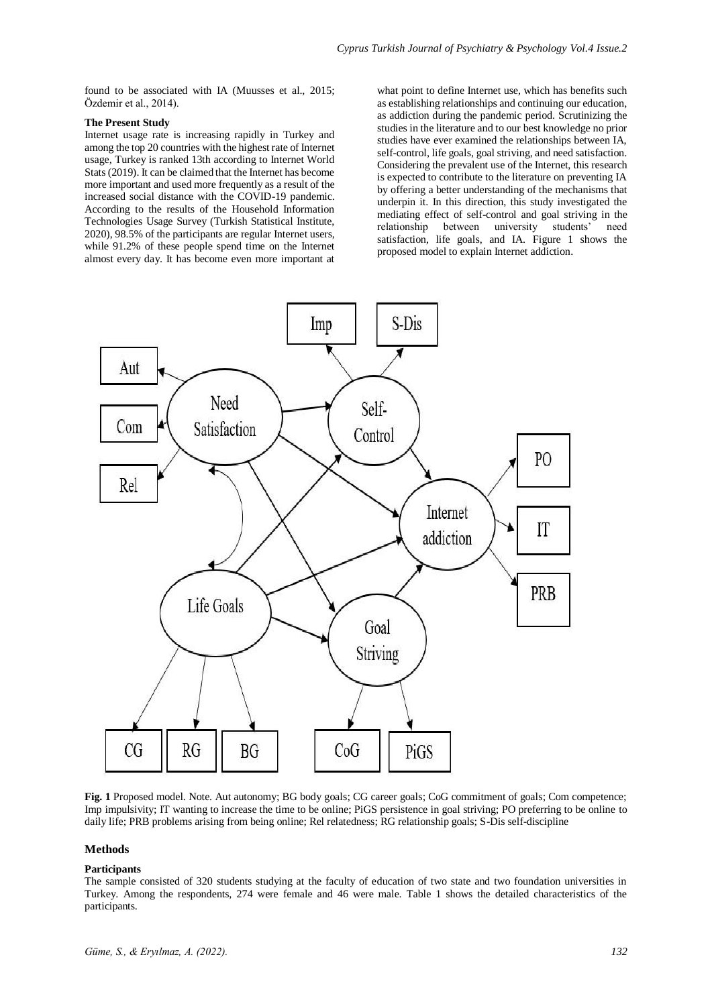found to be associated with IA (Muusses et al., 2015; Özdemir et al., 2014).

## **The Present Study**

Internet usage rate is increasing rapidly in Turkey and among the top 20 countries with the highest rate of Internet usage, Turkey is ranked 13th according to Internet World Stats (2019). It can be claimed that the Internet has become more important and used more frequently as a result of the increased social distance with the COVID-19 pandemic. According to the results of the Household Information Technologies Usage Survey (Turkish Statistical Institute, 2020), 98.5% of the participants are regular Internet users, while 91.2% of these people spend time on the Internet almost every day. It has become even more important at

what point to define Internet use, which has benefits such as establishing relationships and continuing our education, as addiction during the pandemic period. Scrutinizing the studies in the literature and to our best knowledge no prior studies have ever examined the relationships between IA, self-control, life goals, goal striving, and need satisfaction. Considering the prevalent use of the Internet, this research is expected to contribute to the literature on preventing IA by offering a better understanding of the mechanisms that underpin it. In this direction, this study investigated the mediating effect of self-control and goal striving in the relationship between university students' need satisfaction, life goals, and IA. Figure 1 shows the proposed model to explain Internet addiction.



**Fig. 1** Proposed model. Note. Aut autonomy; BG body goals; CG career goals; CoG commitment of goals; Com competence; Imp impulsivity; IT wanting to increase the time to be online; PiGS persistence in goal striving; PO preferring to be online to daily life; PRB problems arising from being online; Rel relatedness; RG relationship goals; S-Dis self-discipline

#### **Methods**

## **Participants**

The sample consisted of 320 students studying at the faculty of education of two state and two foundation universities in Turkey. Among the respondents, 274 were female and 46 were male. Table 1 shows the detailed characteristics of the participants.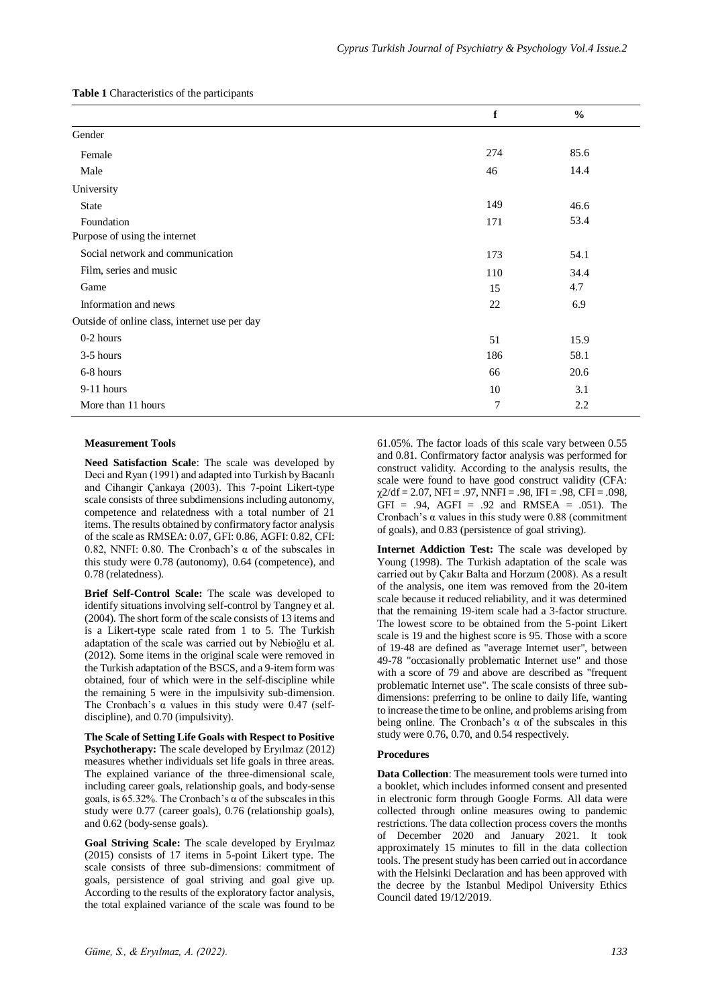|                                               | f   | $\frac{0}{0}$ |
|-----------------------------------------------|-----|---------------|
| Gender                                        |     |               |
| Female                                        | 274 | 85.6          |
| Male                                          | 46  | 14.4          |
| University                                    |     |               |
| State                                         | 149 | 46.6          |
| Foundation                                    | 171 | 53.4          |
| Purpose of using the internet                 |     |               |
| Social network and communication              | 173 | 54.1          |
| Film, series and music                        | 110 | 34.4          |
| Game                                          | 15  | 4.7           |
| Information and news                          | 22  | 6.9           |
| Outside of online class, internet use per day |     |               |
| 0-2 hours                                     | 51  | 15.9          |
| 3-5 hours                                     | 186 | 58.1          |
| 6-8 hours                                     | 66  | 20.6          |
| 9-11 hours                                    | 10  | 3.1           |
| More than 11 hours                            | 7   | 2.2           |

### **Measurement Tools**

**Need Satisfaction Scale**: The scale was developed by Deci and Ryan (1991) and adapted into Turkish by Bacanlı and Cihangir Çankaya (2003). This 7-point Likert-type scale consists of three subdimensions including autonomy, competence and relatedness with a total number of 21 items. The results obtained by confirmatory factor analysis of the scale as RMSEA: 0.07, GFI: 0.86, AGFI: 0.82, CFI: 0.82, NNFI: 0.80. The Cronbach's  $\alpha$  of the subscales in this study were 0.78 (autonomy), 0.64 (competence), and 0.78 (relatedness).

**Brief Self-Control Scale:** The scale was developed to identify situations involving self-control by Tangney et al. (2004). The short form of the scale consists of 13 items and is a Likert-type scale rated from 1 to 5. The Turkish adaptation of the scale was carried out by Nebioğlu et al. (2012). Some items in the original scale were removed in the Turkish adaptation of the BSCS, and a 9-item form was obtained, four of which were in the self-discipline while the remaining 5 were in the impulsivity sub-dimension. The Cronbach's  $\alpha$  values in this study were 0.47 (selfdiscipline), and 0.70 (impulsivity).

**The Scale of Setting Life Goals with Respect to Positive Psychotherapy:** The scale developed by Eryılmaz (2012) measures whether individuals set life goals in three areas. The explained variance of the three-dimensional scale, including career goals, relationship goals, and body-sense goals, is 65.32%. The Cronbach's  $\alpha$  of the subscales in this study were 0.77 (career goals), 0.76 (relationship goals), and 0.62 (body-sense goals).

**Goal Striving Scale:** The scale developed by Eryılmaz (2015) consists of 17 items in 5-point Likert type. The scale consists of three sub-dimensions: commitment of goals, persistence of goal striving and goal give up. According to the results of the exploratory factor analysis, the total explained variance of the scale was found to be

61.05%. The factor loads of this scale vary between 0.55 and 0.81. Confirmatory factor analysis was performed for construct validity. According to the analysis results, the scale were found to have good construct validity (CFA:  $\gamma$ 2/df = 2.07, NFI = .97, NNFI = .98, IFI = .98, CFI = .098,  $\text{GFI} = .94, \text{ AGFI} = .92 \text{ and RMSEA} = .051. \text{ The}$ Cronbach's  $\alpha$  values in this study were 0.88 (commitment of goals), and 0.83 (persistence of goal striving).

**Internet Addiction Test:** The scale was developed by Young (1998). The Turkish adaptation of the scale was carried out by Çakır Balta and Horzum (2008). As a result of the analysis, one item was removed from the 20-item scale because it reduced reliability, and it was determined that the remaining 19-item scale had a 3-factor structure. The lowest score to be obtained from the 5-point Likert scale is 19 and the highest score is 95. Those with a score of 19-48 are defined as "average Internet user", between 49-78 "occasionally problematic Internet use" and those with a score of 79 and above are described as "frequent" problematic Internet use". The scale consists of three subdimensions: preferring to be online to daily life, wanting to increase the time to be online, and problems arising from being online. The Cronbach's  $\alpha$  of the subscales in this study were 0.76, 0.70, and 0.54 respectively.

## **Procedures**

**Data Collection**: The measurement tools were turned into a booklet, which includes informed consent and presented in electronic form through Google Forms. All data were collected through online measures owing to pandemic restrictions. The data collection process covers the months of December 2020 and January 2021. It took approximately 15 minutes to fill in the data collection tools. The present study has been carried out in accordance with the Helsinki Declaration and has been approved with the decree by the Istanbul Medipol University Ethics Council dated 19/12/2019.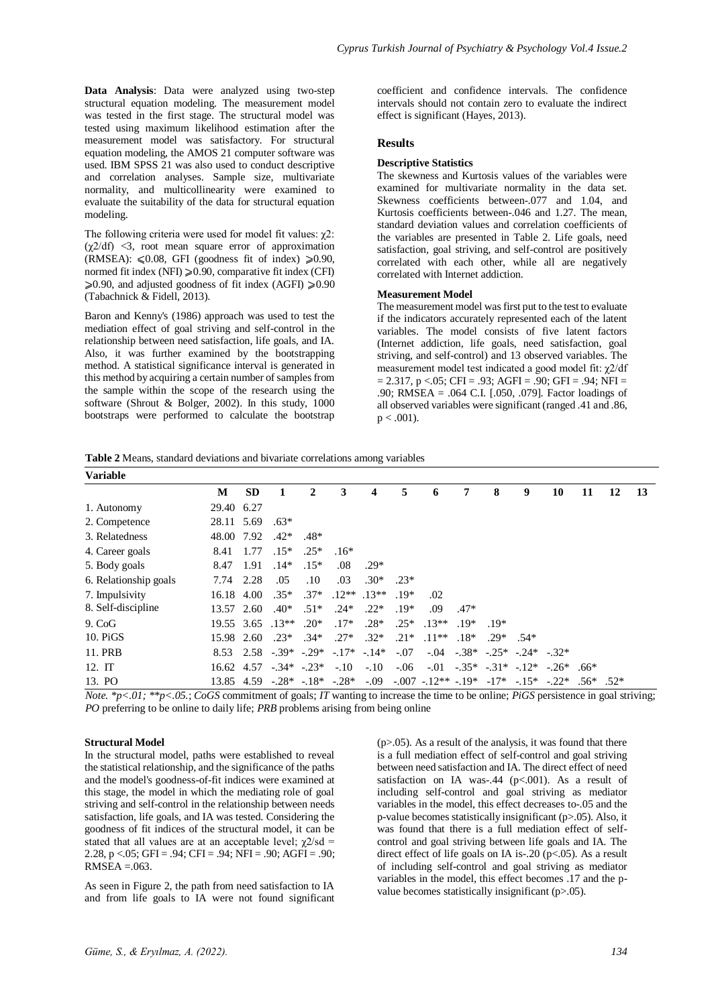**Data Analysis**: Data were analyzed using two-step structural equation modeling. The measurement model was tested in the first stage. The structural model was tested using maximum likelihood estimation after the measurement model was satisfactory. For structural equation modeling, the AMOS 21 computer software was used. IBM SPSS 21 was also used to conduct descriptive and correlation analyses. Sample size, multivariate normality, and multicollinearity were examined to evaluate the suitability of the data for structural equation modeling.

The following criteria were used for model fit values: χ2:  $(\gamma 2/df)$  <3, root mean square error of approximation  $(RMSEA): \leq 0.08$ , GFI (goodness fit of index)  $\geq 0.90$ , normed fit index (NFI)  $\geq 0.90$ , comparative fit index (CFI)  $\geq 0.90$ , and adjusted goodness of fit index (AGFI)  $\geq 0.90$ (Tabachnick & Fidell, 2013).

Baron and Kenny's (1986) approach was used to test the mediation effect of goal striving and self-control in the relationship between need satisfaction, life goals, and IA. Also, it was further examined by the bootstrapping method. A statistical significance interval is generated in this method by acquiring a certain number of samples from the sample within the scope of the research using the software (Shrout & Bolger, 2002). In this study, 1000 bootstraps were performed to calculate the bootstrap

coefficient and confidence intervals. The confidence intervals should not contain zero to evaluate the indirect effect is significant (Hayes, 2013).

## **Results**

#### **Descriptive Statistics**

The skewness and Kurtosis values of the variables were examined for multivariate normality in the data set. Skewness coefficients between-.077 and 1.04, and Kurtosis coefficients between-.046 and 1.27. The mean, standard deviation values and correlation coefficients of the variables are presented in Table 2. Life goals, need satisfaction, goal striving, and self-control are positively correlated with each other, while all are negatively correlated with Internet addiction.

## **Measurement Model**

The measurement model was first put to the test to evaluate if the indicators accurately represented each of the latent variables. The model consists of five latent factors (Internet addiction, life goals, need satisfaction, goal striving, and self-control) and 13 observed variables. The measurement model test indicated a good model fit: χ2/df  $= 2.317$ , p <.05; CFI = .93; AGFI = .90; GFI = .94; NFI = .90; RMSEA = .064 C.I. [.050, .079]. Factor loadings of all observed variables were significant (ranged .41 and .86,  $p < .001$ ).

**Table 2** Means, standard deviations and bivariate correlations among variables

| <b>Variable</b>       |            |           |                                 |        |                 |               |        |                          |                                    |        |                                        |                           |              |    |    |
|-----------------------|------------|-----------|---------------------------------|--------|-----------------|---------------|--------|--------------------------|------------------------------------|--------|----------------------------------------|---------------------------|--------------|----|----|
|                       | M          | <b>SD</b> |                                 | 2      | 3               | 4             | 5      | 6                        | 7                                  | 8      | 9                                      | 10                        | 11           | 12 | 13 |
| 1. Autonomy           | 29.40      | 6.27      |                                 |        |                 |               |        |                          |                                    |        |                                        |                           |              |    |    |
| 2. Competence         | 28.11 5.69 |           | $.63*$                          |        |                 |               |        |                          |                                    |        |                                        |                           |              |    |    |
| 3. Relatedness        | 48.00      | 7.92      | $.42*$                          | $.48*$ |                 |               |        |                          |                                    |        |                                        |                           |              |    |    |
| 4. Career goals       | 8.41       | 1.77      | $.15*$                          | $.25*$ | $.16*$          |               |        |                          |                                    |        |                                        |                           |              |    |    |
| 5. Body goals         | 8.47       | 1.91      | $.14*$                          | $.15*$ | .08             | $.29*$        |        |                          |                                    |        |                                        |                           |              |    |    |
| 6. Relationship goals | 7.74       | 2.28      | .05                             | .10    | .03             | $.30*$        | $.23*$ |                          |                                    |        |                                        |                           |              |    |    |
| 7. Impulsivity        | 16.18      | 4.00      | $.35*$                          | $.37*$ |                 | $.12**$ .13** | $.19*$ | .02                      |                                    |        |                                        |                           |              |    |    |
| 8. Self-discipline    | 13.57 2.60 |           | $.40*$                          | $.51*$ | $.24*$          | $.22*$        | $.19*$ | .09                      | $.47*$                             |        |                                        |                           |              |    |    |
| $9. \text{CoG}$       |            |           | $19.55$ 3.65 $.13**$            | $.20*$ | $.17*$          | $.28*$        | $.25*$ | $.13**$                  | $19*$                              | $19*$  |                                        |                           |              |    |    |
| 10. PiGS              | 15.98      | 2.60      | $.23*$                          | $.34*$ | $.27*$          | $.32*$        | $.21*$ | $.11**$                  | $.18*$                             | $.29*$ | $.54*$                                 |                           |              |    |    |
| 11. PRB               |            |           | $8.53$ $2.58$ $-0.39*$ $-0.29*$ |        | $-17^*$ $-14^*$ |               | $-.07$ |                          |                                    |        | $-.04$ $-.38*$ $-.25*$ $-.24*$ $-.32*$ |                           |              |    |    |
| 12. IT                | 16.62      | 4.57      | $-.34*-.23*$                    |        | $-.10$          | $-.10$        | $-.06$ |                          | $-0.01$ $-0.35*$ $-0.31*$ $-0.12*$ |        |                                        | $-.26*$                   | $.66*$       |    |    |
| 13. PO                | 13.85 4.59 |           | $-.28^*$ $-.18^*$ $-.28^*$      |        |                 | $-.09$        |        | $-.007$ $-.12**$ $-.19*$ |                                    |        |                                        | $-17^*$ $-.15^*$ $-.22^*$ | $.56^*$ .52* |    |    |

*Note. \*p<.01; \*\*p<.05.*; *CoGS* commitment of goals; *IT* wanting to increase the time to be online; *PiGS* persistence in goal striving; *PO* preferring to be online to daily life; *PRB* problems arising from being online

## **Structural Model**

In the structural model, paths were established to reveal the statistical relationship, and the significance of the paths and the model's goodness-of-fit indices were examined at this stage, the model in which the mediating role of goal striving and self-control in the relationship between needs satisfaction, life goals, and IA was tested. Considering the goodness of fit indices of the structural model, it can be stated that all values are at an acceptable level;  $\chi$ 2/sd = 2.28, p <.05; GFI = .94; CFI = .94; NFI = .90; AGFI = .90;  $RMSEA = .063$ .

As seen in Figure 2, the path from need satisfaction to IA and from life goals to IA were not found significant

 $(p>0.05)$ . As a result of the analysis, it was found that there is a full mediation effect of self-control and goal striving between need satisfaction and IA. The direct effect of need satisfaction on IA was-.44 (p<.001). As a result of including self-control and goal striving as mediator variables in the model, this effect decreases to-.05 and the p-value becomes statistically insignificant (p>.05). Also, it was found that there is a full mediation effect of selfcontrol and goal striving between life goals and IA. The direct effect of life goals on IA is-.20 ( $p<.05$ ). As a result of including self-control and goal striving as mediator variables in the model, this effect becomes .17 and the pvalue becomes statistically insignificant (p>.05).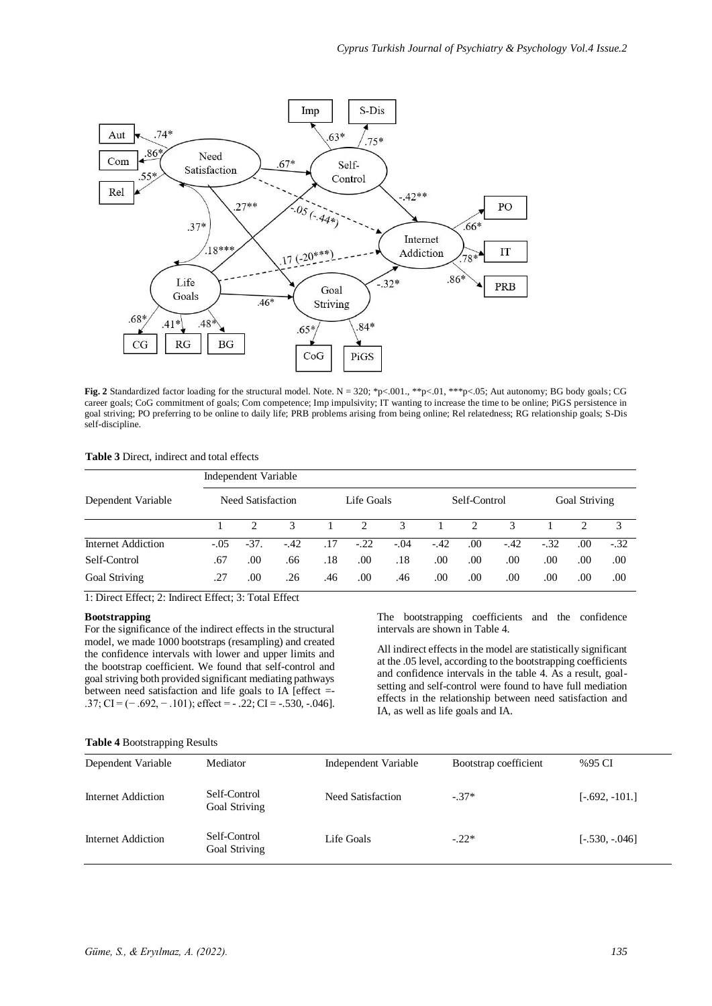

**Fig. 2** Standardized factor loading for the structural model. Note. N = 320; \*p<.001., \*\*p<.01, \*\*\*p<.05; Aut autonomy; BG body goals; CG career goals; CoG commitment of goals; Com competence; Imp impulsivity; IT wanting to increase the time to be online; PiGS persistence in goal striving; PO preferring to be online to daily life; PRB problems arising from being online; Rel relatedness; RG relationship goals; S-Dis self-discipline.

| <b>Table 3</b> Direct, indirect and total effects |  |  |
|---------------------------------------------------|--|--|
|---------------------------------------------------|--|--|

|                    | Independent Variable |                   |       |     |               |              |        |               |              |        |               |        |
|--------------------|----------------------|-------------------|-------|-----|---------------|--------------|--------|---------------|--------------|--------|---------------|--------|
| Dependent Variable |                      | Need Satisfaction |       |     | Life Goals    |              |        | Self-Control  |              |        | Goal Striving |        |
|                    |                      |                   | 3     |     | $\mathcal{D}$ | $\mathbf{R}$ |        | $\mathcal{D}$ | $\mathbf{R}$ |        |               |        |
| Internet Addiction | $-.05$               | $-37.$            | $-42$ | .17 | $-.22$        | $-.04$       | $-.42$ | .00.          | $-.42$       | $-.32$ | .00           | $-.32$ |
| Self-Control       | .67                  | .00.              | .66   | .18 | .00.          | .18          | .00    | .00           | .00          | .00    | .00           | .00    |
| Goal Striving      | .27                  | .00.              | .26   | .46 | .00           | .46          | .00    | .00           | .00          | .00    | .00           | .00    |

1: Direct Effect; 2: Indirect Effect; 3: Total Effect

## **Bootstrapping**

For the significance of the indirect effects in the structural model, we made 1000 bootstraps (resampling) and created the confidence intervals with lower and upper limits and the bootstrap coefficient. We found that self-control and goal striving both provided significant mediating pathways between need satisfaction and life goals to IA [effect =- .37; CI =  $(-.692, -.101)$ ; effect =  $-.22$ ; CI =  $-.530, -.046$ ]. The bootstrapping coefficients and the confidence intervals are shown in Table 4.

All indirect effects in the model are statistically significant at the .05 level, according to the bootstrapping coefficients and confidence intervals in the table 4. As a result, goalsetting and self-control were found to have full mediation effects in the relationship between need satisfaction and IA, as well as life goals and IA.

#### **Table 4** Bootstrapping Results

| Dependent Variable | Mediator                      | Independent Variable | Bootstrap coefficient | %95 CI           |
|--------------------|-------------------------------|----------------------|-----------------------|------------------|
| Internet Addiction | Self-Control<br>Goal Striving | Need Satisfaction    | $-37*$                | $[-.692, -101.]$ |
| Internet Addiction | Self-Control<br>Goal Striving | Life Goals           | $-.22*$               | $[-.530, -046]$  |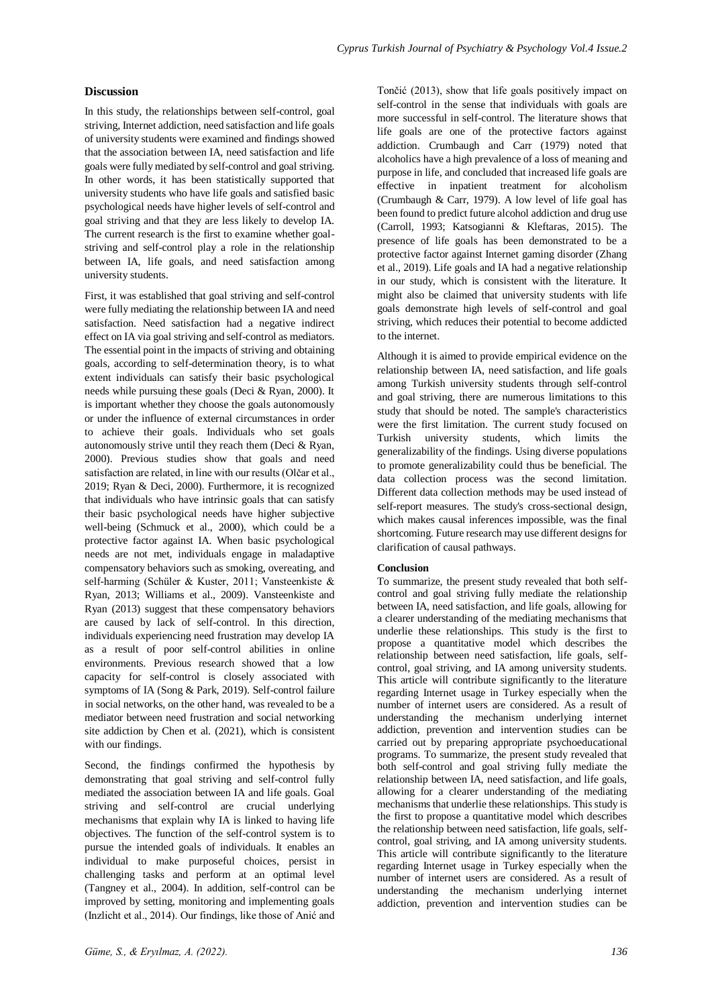## **Discussion**

In this study, the relationships between self-control, goal striving, Internet addiction, need satisfaction and life goals of university students were examined and findings showed that the association between IA, need satisfaction and life goals were fully mediated by self-control and goal striving. In other words, it has been statistically supported that university students who have life goals and satisfied basic psychological needs have higher levels of self-control and goal striving and that they are less likely to develop IA. The current research is the first to examine whether goalstriving and self-control play a role in the relationship between IA, life goals, and need satisfaction among university students.

First, it was established that goal striving and self-control were fully mediating the relationship between IA and need satisfaction. Need satisfaction had a negative indirect effect on IA via goal striving and self-control as mediators. The essential point in the impacts of striving and obtaining goals, according to self-determination theory, is to what extent individuals can satisfy their basic psychological needs while pursuing these goals (Deci & Ryan, 2000). It is important whether they choose the goals autonomously or under the influence of external circumstances in order to achieve their goals. Individuals who set goals autonomously strive until they reach them (Deci & Ryan, 2000). Previous studies show that goals and need satisfaction are related, in line with our results (Olčar et al., 2019; Ryan & Deci, 2000). Furthermore, it is recognized that individuals who have intrinsic goals that can satisfy their basic psychological needs have higher subjective well-being (Schmuck et al., 2000), which could be a protective factor against IA. When basic psychological needs are not met, individuals engage in maladaptive compensatory behaviors such as smoking, overeating, and self-harming (Schüler & Kuster, 2011; Vansteenkiste & Ryan, 2013; Williams et al., 2009). Vansteenkiste and Ryan (2013) suggest that these compensatory behaviors are caused by lack of self-control. In this direction, individuals experiencing need frustration may develop IA as a result of poor self-control abilities in online environments. Previous research showed that a low capacity for self-control is closely associated with symptoms of IA (Song & Park, 2019). Self-control failure in social networks, on the other hand, was revealed to be a mediator between need frustration and social networking site addiction by Chen et al. (2021), which is consistent with our findings.

Second, the findings confirmed the hypothesis by demonstrating that goal striving and self-control fully mediated the association between IA and life goals. Goal striving and self-control are crucial underlying mechanisms that explain why IA is linked to having life objectives. The function of the self-control system is to pursue the intended goals of individuals. It enables an individual to make purposeful choices, persist in challenging tasks and perform at an optimal level (Tangney et al., 2004). In addition, self-control can be improved by setting, monitoring and implementing goals (Inzlicht et al., 2014). Our findings, like those of Anić and

Tončić (2013), show that life goals positively impact on self-control in the sense that individuals with goals are more successful in self-control. The literature shows that life goals are one of the protective factors against addiction. Crumbaugh and Carr (1979) noted that alcoholics have a high prevalence of a loss of meaning and purpose in life, and concluded that increased life goals are effective in inpatient treatment for alcoholism (Crumbaugh & Carr, 1979). A low level of life goal has been found to predict future alcohol addiction and drug use (Carroll, 1993; Katsogianni & Kleftaras, 2015). The presence of life goals has been demonstrated to be a protective factor against Internet gaming disorder (Zhang et al., 2019). Life goals and IA had a negative relationship in our study, which is consistent with the literature. It might also be claimed that university students with life goals demonstrate high levels of self-control and goal striving, which reduces their potential to become addicted to the internet.

Although it is aimed to provide empirical evidence on the relationship between IA, need satisfaction, and life goals among Turkish university students through self-control and goal striving, there are numerous limitations to this study that should be noted. The sample's characteristics were the first limitation. The current study focused on Turkish university students, which limits the generalizability of the findings. Using diverse populations to promote generalizability could thus be beneficial. The data collection process was the second limitation. Different data collection methods may be used instead of self-report measures. The study's cross-sectional design, which makes causal inferences impossible, was the final shortcoming. Future research may use different designs for clarification of causal pathways.

## **Conclusion**

To summarize, the present study revealed that both selfcontrol and goal striving fully mediate the relationship between IA, need satisfaction, and life goals, allowing for a clearer understanding of the mediating mechanisms that underlie these relationships. This study is the first to propose a quantitative model which describes the relationship between need satisfaction, life goals, selfcontrol, goal striving, and IA among university students. This article will contribute significantly to the literature regarding Internet usage in Turkey especially when the number of internet users are considered. As a result of understanding the mechanism underlying internet addiction, prevention and intervention studies can be carried out by preparing appropriate psychoeducational programs. To summarize, the present study revealed that both self-control and goal striving fully mediate the relationship between IA, need satisfaction, and life goals, allowing for a clearer understanding of the mediating mechanisms that underlie these relationships. This study is the first to propose a quantitative model which describes the relationship between need satisfaction, life goals, selfcontrol, goal striving, and IA among university students. This article will contribute significantly to the literature regarding Internet usage in Turkey especially when the number of internet users are considered. As a result of understanding the mechanism underlying internet addiction, prevention and intervention studies can be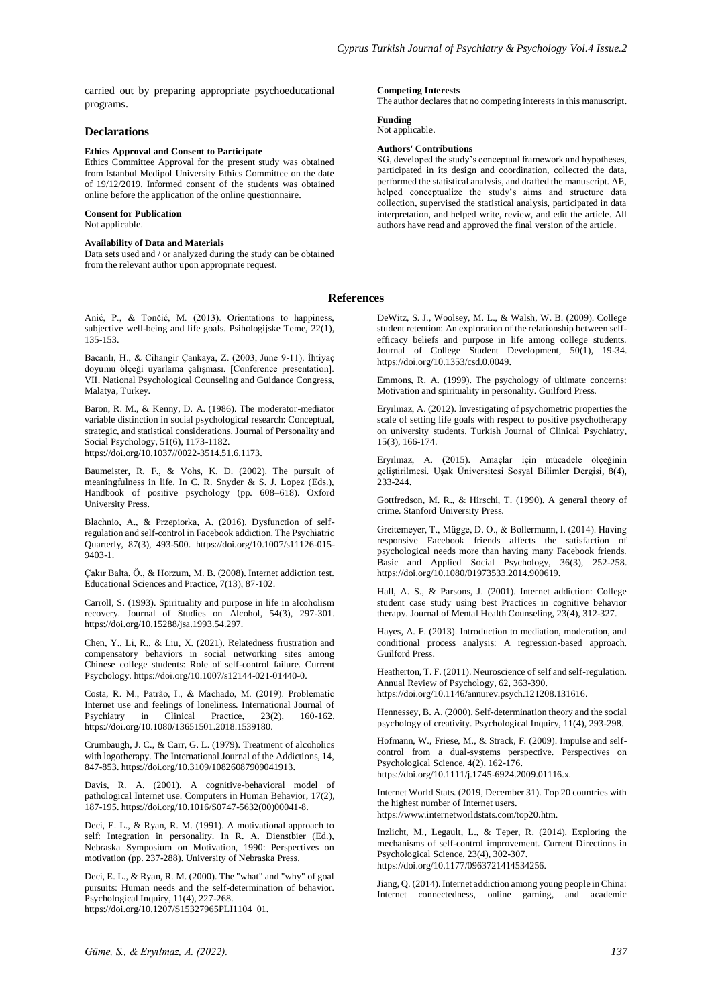carried out by preparing appropriate psychoeducational programs.

## **Declarations**

## **Ethics Approval and Consent to Participate**

Ethics Committee Approval for the present study was obtained from Istanbul Medipol University Ethics Committee on the date of 19/12/2019. Informed consent of the students was obtained online before the application of the online questionnaire.

**Consent for Publication**

Not applicable.

## **Availability of Data and Materials**

Data sets used and / or analyzed during the study can be obtained from the relevant author upon appropriate request.

Anić, P., & Tončić, M. (2013). Orientations to happiness, subjective well-being and life goals. Psihologijske Teme, 22(1), 135-153.

Bacanlı, H., & Cihangir Çankaya, Z. (2003, June 9-11). İhtiyaç doyumu ölçeği uyarlama çalışması. [Conference presentation]. VII. National Psychological Counseling and Guidance Congress, Malatya, Turkey.

Baron, R. M., & Kenny, D. A. (1986). The moderator-mediator variable distinction in social psychological research: Conceptual, strategic, and statistical considerations. Journal of Personality and Social Psychology, 51(6), 1173-1182. https://doi.org/10.1037//0022-3514.51.6.1173.

Baumeister, R. F., & Vohs, K. D. (2002). The pursuit of meaningfulness in life. In C. R. Snyder & S. J. Lopez (Eds.), Handbook of positive psychology (pp. 608–618). Oxford University Press.

Blachnio, A., & Przepiorka, A. (2016). Dysfunction of selfregulation and self-control in Facebook addiction. The Psychiatric Quarterly, 87(3), 493-500. https://doi.org/10.1007/s11126-015- 9403-1.

Çakır Balta, Ö., & Horzum, M. B. (2008). Internet addiction test. Educational Sciences and Practice, 7(13), 87-102.

Carroll, S. (1993). Spirituality and purpose in life in alcoholism recovery. Journal of Studies on Alcohol, 54(3), 297-301. https://doi.org/10.15288/jsa.1993.54.297.

Chen, Y., Li, R., & Liu, X. (2021). Relatedness frustration and compensatory behaviors in social networking sites among Chinese college students: Role of self-control failure. Current Psychology. https://doi.org/10.1007/s12144-021-01440-0.

Costa, R. M., Patrão, I., & Machado, M. (2019). Problematic Internet use and feelings of loneliness. International Journal of Psychiatry in Clinical Practice, 23(2), 160-162. https://doi.org/10.1080/13651501.2018.1539180.

Crumbaugh, J. C., & Carr, G. L. (1979). Treatment of alcoholics with logotherapy. The International Journal of the Addictions, 14, 847-853. https://doi.org/10.3109/10826087909041913.

Davis, R. A. (2001). A cognitive-behavioral model of pathological Internet use. Computers in Human Behavior, 17(2), 187-195. https://doi.org/10.1016/S0747-5632(00)00041-8.

Deci, E. L., & Ryan, R. M. (1991). A motivational approach to self: Integration in personality. In R. A. Dienstbier (Ed.), Nebraska Symposium on Motivation, 1990: Perspectives on motivation (pp. 237-288). University of Nebraska Press.

Deci, E. L., & Ryan, R. M. (2000). The "what" and "why" of goal pursuits: Human needs and the self-determination of behavior. Psychological Inquiry, 11(4), 227-268. https://doi.org/10.1207/S15327965PLI1104\_01.

## **Competing Interests**

The author declares that no competing interests in this manuscript.

**Funding** Not applicable.

# **Authors' Contributions**

SG, developed the study's conceptual framework and hypotheses, participated in its design and coordination, collected the data, performed the statistical analysis, and drafted the manuscript. AE, helped conceptualize the study's aims and structure data collection, supervised the statistical analysis, participated in data interpretation, and helped write, review, and edit the article. All authors have read and approved the final version of the article.

#### **References**

DeWitz, S. J., Woolsey, M. L., & Walsh, W. B. (2009). College student retention: An exploration of the relationship between selfefficacy beliefs and purpose in life among college students. Journal of College Student Development, 50(1), 19-34. https://doi.org/10.1353/csd.0.0049.

Emmons, R. A. (1999). The psychology of ultimate concerns: Motivation and spirituality in personality. Guilford Press.

Eryılmaz, A. (2012). Investigating of psychometric properties the scale of setting life goals with respect to positive psychotherapy on university students. Turkish Journal of Clinical Psychiatry, 15(3), 166-174.

Eryılmaz, A. (2015). Amaçlar için mücadele ölçeğinin geliştirilmesi. Uşak Üniversitesi Sosyal Bilimler Dergisi, 8(4), 233-244.

Gottfredson, M. R., & Hirschi, T. (1990). A general theory of crime. Stanford University Press.

Greitemeyer, T., Mügge, D. O., & Bollermann, I. (2014). Having responsive Facebook friends affects the satisfaction of psychological needs more than having many Facebook friends. Basic and Applied Social Psychology, 36(3), 252-258. https://doi.org/10.1080/01973533.2014.900619.

Hall, A. S., & Parsons, J. (2001). Internet addiction: College student case study using best Practices in cognitive behavior therapy. Journal of Mental Health Counseling, 23(4), 312-327.

Hayes, A. F. (2013). Introduction to mediation, moderation, and conditional process analysis: A regression-based approach. Guilford Press.

Heatherton, T. F. (2011). Neuroscience of self and self-regulation. Annual Review of Psychology, 62, 363-390. https://doi.org/10.1146/annurev.psych.121208.131616.

Hennessey, B. A. (2000). Self-determination theory and the social psychology of creativity. Psychological Inquiry, 11(4), 293-298.

Hofmann, W., Friese, M., & Strack, F. (2009). Impulse and selfcontrol from a dual-systems perspective. Perspectives on Psychological Science, 4(2), 162-176. https://doi.org/10.1111/j.1745-6924.2009.01116.x.

Internet World Stats. (2019, December 31). Top 20 countries with the highest number of Internet users. https://www.internetworldstats.com/top20.htm.

Inzlicht, M., Legault, L., & Teper, R. (2014). Exploring the mechanisms of self-control improvement. Current Directions in Psychological Science, 23(4), 302-307. https://doi.org/10.1177/0963721414534256.

Jiang, Q. (2014). Internet addiction among young people in China: Internet connectedness, online gaming, and academic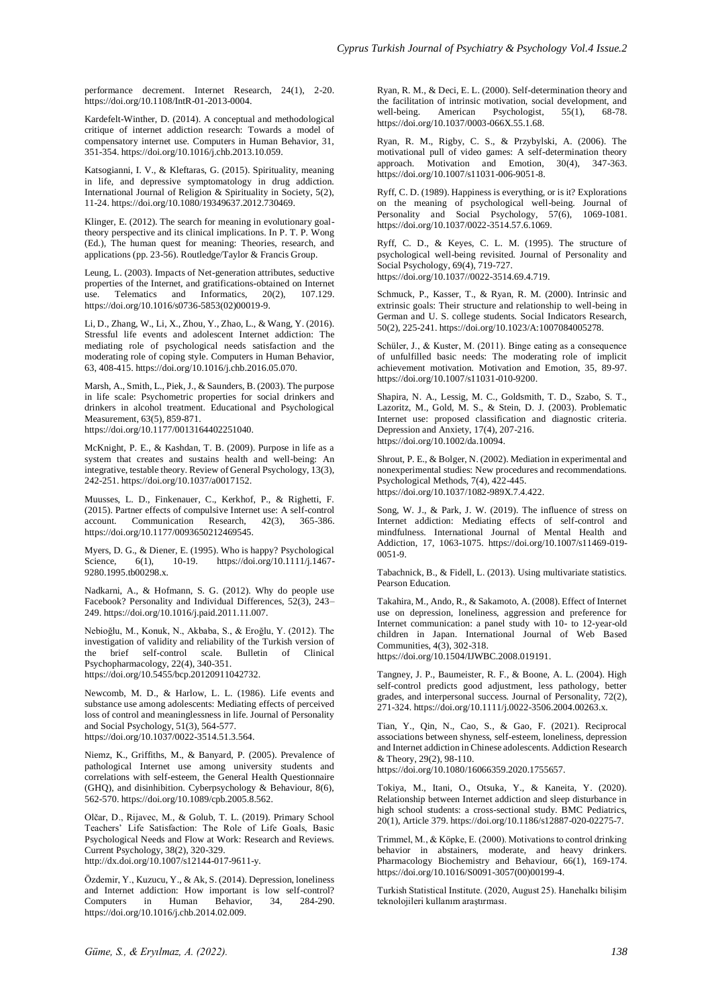performance decrement. Internet Research, 24(1), 2-20. https://doi.org/10.1108/IntR-01-2013-0004.

Kardefelt-Winther, D. (2014). A conceptual and methodological critique of internet addiction research: Towards a model of compensatory internet use. Computers in Human Behavior, 31, 351-354. https://doi.org/10.1016/j.chb.2013.10.059.

Katsogianni, I. V., & Kleftaras, G. (2015). Spirituality, meaning in life, and depressive symptomatology in drug addiction. International Journal of Religion & Spirituality in Society, 5(2), 11-24. https://doi.org/10.1080/19349637.2012.730469.

Klinger, E. (2012). The search for meaning in evolutionary goaltheory perspective and its clinical implications. In P. T. P. Wong (Ed.), The human quest for meaning: Theories, research, and applications (pp. 23-56). Routledge/Taylor & Francis Group.

Leung, L. (2003). Impacts of Net-generation attributes, seductive properties of the Internet, and gratifications-obtained on Internet<br>use. Telematics and Informatics, 20(2), 107.129. use. Telematics and Informatics, https://doi.org/10.1016/s0736-5853(02)00019-9.

Li, D., Zhang, W., Li, X., Zhou, Y., Zhao, L., & Wang, Y. (2016). Stressful life events and adolescent Internet addiction: The mediating role of psychological needs satisfaction and the moderating role of coping style. Computers in Human Behavior, 63, 408-415. https://doi.org/10.1016/j.chb.2016.05.070.

Marsh, A., Smith, L., Piek, J., & Saunders, B. (2003). The purpose in life scale: Psychometric properties for social drinkers and drinkers in alcohol treatment. Educational and Psychological Measurement, 63(5), 859-871.

https://doi.org/10.1177/0013164402251040.

McKnight, P. E., & Kashdan, T. B. (2009). Purpose in life as a system that creates and sustains health and well-being: An integrative, testable theory. Review of General Psychology, 13(3), 242-251. https://doi.org/10.1037/a0017152.

Muusses, L. D., Finkenauer, C., Kerkhof, P., & Righetti, F. (2015). Partner effects of compulsive Internet use: A self-control account. Communication Research, 42(3), 365-386. https://doi.org/10.1177/0093650212469545.

Myers, D. G., & Diener, E. (1995). Who is happy? Psychological<br>Science. 6(1), 10-19. https://doi.org/10.1111/j.1467-Science, 6(1), 10-19. https://doi.org/10.1111/j.1467-9280.1995.tb00298.x.

Nadkarni, A., & Hofmann, S. G. (2012). Why do people use Facebook? Personality and Individual Differences, 52(3), 243– 249. https://doi.org/10.1016/j.paid.2011.11.007.

Nebioğlu, M., Konuk, N., Akbaba, S., & Eroğlu, Y. (2012). The investigation of validity and reliability of the Turkish version of the brief self-control scale. Bulletin of Clinical Psychopharmacology, 22(4), 340-351. https://doi.org/10.5455/bcp.20120911042732.

Newcomb, M. D., & Harlow, L. L. (1986). Life events and substance use among adolescents: Mediating effects of perceived loss of control and meaninglessness in life. Journal of Personality and Social Psychology, 51(3), 564-577. https://doi.org/10.1037/0022-3514.51.3.564.

Niemz, K., Griffiths, M., & Banyard, P. (2005). Prevalence of pathological Internet use among university students and correlations with self-esteem, the General Health Questionnaire (GHQ), and disinhibition. Cyberpsychology & Behaviour, 8(6), 562-570. https://doi.org/10.1089/cpb.2005.8.562.

Olčar, D., Rijavec, M., & Golub, T. L. (2019). Primary School Teachers' Life Satisfaction: The Role of Life Goals, Basic Psychological Needs and Flow at Work: Research and Reviews. Current Psychology, 38(2), 320-329. http://dx.doi.org/10.1007/s12144-017-9611-y.

Özdemir, Y., Kuzucu, Y., & Ak, S. (2014). Depression, loneliness and Internet addiction: How important is low self-control? Computers in Human Behavior, 34, 284-290. https://doi.org/10.1016/j.chb.2014.02.009.

Ryan, R. M., & Deci, E. L. (2000). Self-determination theory and the facilitation of intrinsic motivation, social development, and<br>well-being. American Psychologist. 55(1), 68-78. American Psychologist, 55(1), 68-78. https://doi.org/10.1037/0003-066X.55.1.68.

Ryan, R. M., Rigby, C. S., & Przybylski, A. (2006). The motivational pull of video games: A self-determination theory approach. Motivation and Emotion, 30(4), 347-363. https://doi.org/10.1007/s11031-006-9051-8.

Ryff, C. D. (1989). Happiness is everything, or is it? Explorations on the meaning of psychological well-being. Journal of Personality and Social Psychology, 57(6), 1069-1081. https://doi.org/10.1037/0022-3514.57.6.1069.

Ryff, C. D., & Keyes, C. L. M. (1995). The structure of psychological well-being revisited. Journal of Personality and Social Psychology, 69(4), 719-727. https://doi.org/10.1037//0022-3514.69.4.719.

Schmuck, P., Kasser, T., & Ryan, R. M. (2000). Intrinsic and extrinsic goals: Their structure and relationship to well-being in German and U. S. college students. Social Indicators Research, 50(2), 225-241. https://doi.org/10.1023/A:1007084005278.

Schüler, J., & Kuster, M. (2011). Binge eating as a consequence of unfulfilled basic needs: The moderating role of implicit achievement motivation. Motivation and Emotion, 35, 89-97. https://doi.org/10.1007/s11031-010-9200.

Shapira, N. A., Lessig, M. C., Goldsmith, T. D., Szabo, S. T., Lazoritz, M., Gold, M. S., & Stein, D. J. (2003). Problematic Internet use: proposed classification and diagnostic criteria. Depression and Anxiety, 17(4), 207-216. https://doi.org/10.1002/da.10094.

Shrout, P. E., & Bolger, N. (2002). Mediation in experimental and nonexperimental studies: New procedures and recommendations. Psychological Methods, 7(4), 422-445. https://doi.org/10.1037/1082-989X.7.4.422.

Song, W. J., & Park, J. W. (2019). The influence of stress on Internet addiction: Mediating effects of self-control and mindfulness. International Journal of Mental Health and Addiction, 17, 1063-1075. https://doi.org/10.1007/s11469-019- 0051-9.

Tabachnick, B., & Fidell, L. (2013). Using multivariate statistics. Pearson Education.

Takahira, M., Ando, R., & Sakamoto, A. (2008). Effect of Internet use on depression, loneliness, aggression and preference for Internet communication: a panel study with 10- to 12-year-old children in Japan. International Journal of Web Based Communities, 4(3), 302-318.

https://doi.org/10.1504/IJWBC.2008.019191.

Tangney, J. P., Baumeister, R. F., & Boone, A. L. (2004). High self-control predicts good adjustment, less pathology, better grades, and interpersonal success. Journal of Personality, 72(2), 271-324. https://doi.org/10.1111/j.0022-3506.2004.00263.x.

Tian, Y., Qin, N., Cao, S., & Gao, F. (2021). Reciprocal associations between shyness, self-esteem, loneliness, depression and Internet addiction in Chinese adolescents. Addiction Research & Theory, 29(2), 98-110.

https://doi.org/10.1080/16066359.2020.1755657.

Tokiya, M., Itani, O., Otsuka, Y., & Kaneita, Y. (2020). Relationship between Internet addiction and sleep disturbance in high school students: a cross-sectional study. BMC Pediatrics, 20(1), Article 379. https://doi.org/10.1186/s12887-020-02275-7.

Trimmel, M., & Köpke, E. (2000). Motivations to control drinking behavior in abstainers, moderate, and heavy drinkers. Pharmacology Biochemistry and Behaviour, 66(1), 169-174. https://doi.org/10.1016/S0091-3057(00)00199-4.

Turkish Statistical Institute. (2020, August 25). Hanehalkı bilişim teknolojileri kullanım araştırması.